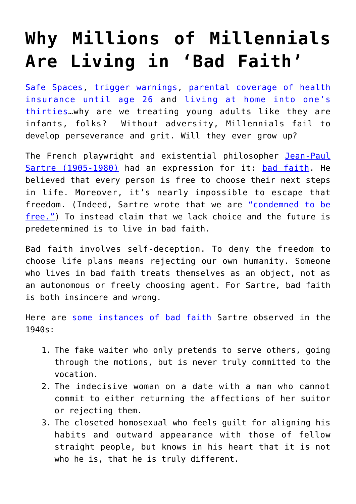## **[Why Millions of Millennials](https://intellectualtakeout.org/2016/12/why-millions-of-millennials-are-living-in-bad-faith/) [Are Living in 'Bad Faith'](https://intellectualtakeout.org/2016/12/why-millions-of-millennials-are-living-in-bad-faith/)**

[Safe Spaces,](http://geekfeminism.wikia.com/wiki/Safe_space) [trigger warnings,](http://www.npr.org/sections/ed/2016/09/07/492979242/half-of-professors-in-npr-ed-survey-have-used-trigger-warnings) [parental coverage of health](https://www.healthcare.gov/young-adults/children-under-26/) [insurance until age 26](https://www.healthcare.gov/young-adults/children-under-26/) and [living at home into one's](http://www.huffingtonpost.com/alex-iosiovich/five-excuses-for-why-youre-30_b_8141690.html) [thirties](http://www.huffingtonpost.com/alex-iosiovich/five-excuses-for-why-youre-30_b_8141690.html)…why are we treating young adults like they are infants, folks? Without adversity, Millennials fail to develop perseverance and grit. Will they ever grow up?

The French playwright and existential philosopher [Jean-Paul](https://en.wikipedia.org/wiki/Jean-Paul_Sartre) [Sartre \(1905-1980\)](https://en.wikipedia.org/wiki/Jean-Paul_Sartre) had an expression for it: [bad faith.](https://en.wikipedia.org/wiki/Bad_faith_(existentialism)) He believed that every person is free to choose their next steps in life. Moreover, it's nearly impossible to escape that freedom. (Indeed, Sartre wrote that we are ["condemned to be](http://www.philosophypathways.com/essays/meakin2.html) [free."\)](http://www.philosophypathways.com/essays/meakin2.html) To instead claim that we lack choice and the future is predetermined is to live in bad faith.

Bad faith involves self-deception. To deny the freedom to choose life plans means rejecting our own humanity. Someone who lives in bad faith treats themselves as an object, not as an autonomous or freely choosing agent. For Sartre, bad faith is both insincere and wrong.

Here are [some instances of bad faith](http://timothyquigley.net/cont/sartre-bad_faith.pdf) Sartre observed in the 1940s:

- 1. The fake waiter who only pretends to serve others, going through the motions, but is never truly committed to the vocation.
- 2. The indecisive woman on a date with a man who cannot commit to either returning the affections of her suitor or rejecting them.
- 3. The closeted homosexual who feels guilt for aligning his habits and outward appearance with those of fellow straight people, but knows in his heart that it is not who he is, that he is truly different.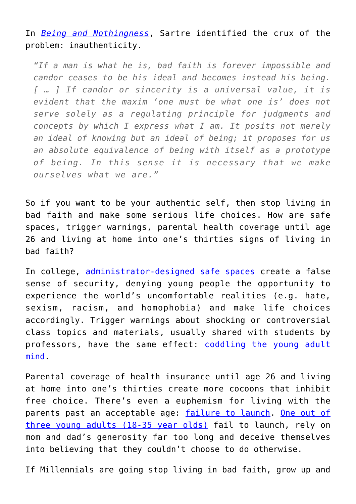In *[Being and Nothingness](http://timothyquigley.net/cont/sartre-bad_faith.pdf)*, Sartre identified the crux of the problem: inauthenticity.

*"If a man is what he is, bad faith is forever impossible and candor ceases to be his ideal and becomes instead his being. [ … ] If candor or sincerity is a universal value, it is evident that the maxim 'one must be what one is' does not serve solely as a regulating principle for judgments and concepts by which I express what I am. It posits not merely an ideal of knowing but an ideal of being; it proposes for us an absolute equivalence of being with itself as a prototype of being. In this sense it is necessary that we make ourselves what we are."*

So if you want to be your authentic self, then stop living in bad faith and make some serious life choices. How are safe spaces, trigger warnings, parental health coverage until age 26 and living at home into one's thirties signs of living in bad faith?

In college, [administrator-designed safe spaces](https://www.nytimes.com/2015/03/22/opinion/sunday/judith-shulevitz-hiding-from-scary-ideas.html) create a false sense of security, denying young people the opportunity to experience the world's uncomfortable realities (e.g. hate, sexism, racism, and homophobia) and make life choices accordingly. Trigger warnings about shocking or controversial class topics and materials, usually shared with students by professors, have the same effect: [coddling the young adult](http://www.theatlantic.com/magazine/archive/2015/09/the-coddling-of-the-american-mind/399356/) [mind](http://www.theatlantic.com/magazine/archive/2015/09/the-coddling-of-the-american-mind/399356/).

Parental coverage of health insurance until age 26 and living at home into one's thirties create more cocoons that inhibit free choice. There's even a euphemism for living with the parents past an acceptable age: [failure to launch](https://www.empoweringparents.com/article/failure-to-launch-part-1-why-so-many-adult-kids-still-live-with-their-parents/). [One out of](http://www.npr.org/sections/thetwo-way/2016/05/24/479327382/for-first-time-in-130-years-more-young-adults-live-with-parents-than-partners) [three young adults \(18-35 year olds\)](http://www.npr.org/sections/thetwo-way/2016/05/24/479327382/for-first-time-in-130-years-more-young-adults-live-with-parents-than-partners) fail to launch, rely on mom and dad's generosity far too long and deceive themselves into believing that they couldn't choose to do otherwise.

If Millennials are going stop living in bad faith, grow up and